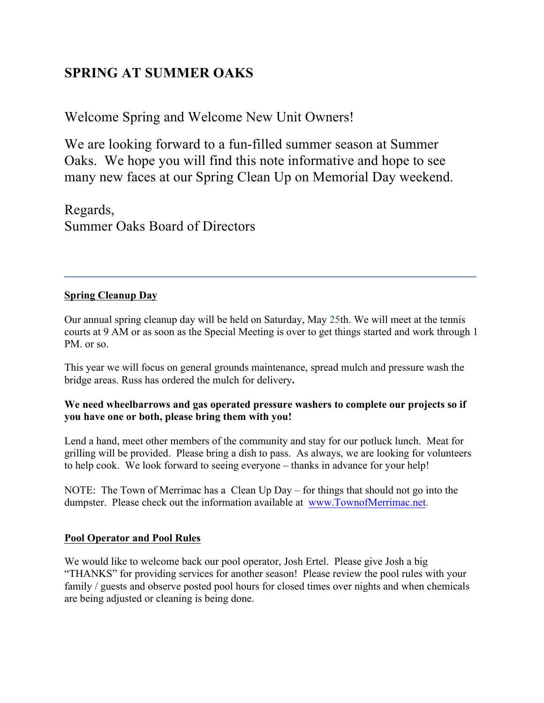# **SPRING AT SUMMER OAKS**

Welcome Spring and Welcome New Unit Owners!

We are looking forward to a fun-filled summer season at Summer Oaks. We hope you will find this note informative and hope to see many new faces at our Spring Clean Up on Memorial Day weekend.

Regards, Summer Oaks Board of Directors

# **Spring Cleanup Day**

Our annual spring cleanup day will be held on Saturday, May 25th. We will meet at the tennis courts at 9 AM or as soon as the Special Meeting is over to get things started and work through 1 PM. or so.

 $\mathcal{L}_\text{max}$  and  $\mathcal{L}_\text{max}$  and  $\mathcal{L}_\text{max}$  and  $\mathcal{L}_\text{max}$  and  $\mathcal{L}_\text{max}$  and  $\mathcal{L}_\text{max}$ 

This year we will focus on general grounds maintenance, spread mulch and pressure wash the bridge areas. Russ has ordered the mulch for delivery**.** 

## **We need wheelbarrows and gas operated pressure washers to complete our projects so if you have one or both, please bring them with you!**

Lend a hand, meet other members of the community and stay for our potluck lunch. Meat for grilling will be provided. Please bring a dish to pass. As always, we are looking for volunteers to help cook. We look forward to seeing everyone – thanks in advance for your help!

NOTE: The Town of Merrimac has a Clean Up Day – for things that should not go into the dumpster. Please check out the information available at www.TownofMerrimac.net.

## **Pool Operator and Pool Rules**

We would like to welcome back our pool operator, Josh Ertel. Please give Josh a big "THANKS" for providing services for another season! Please review the pool rules with your family / guests and observe posted pool hours for closed times over nights and when chemicals are being adjusted or cleaning is being done.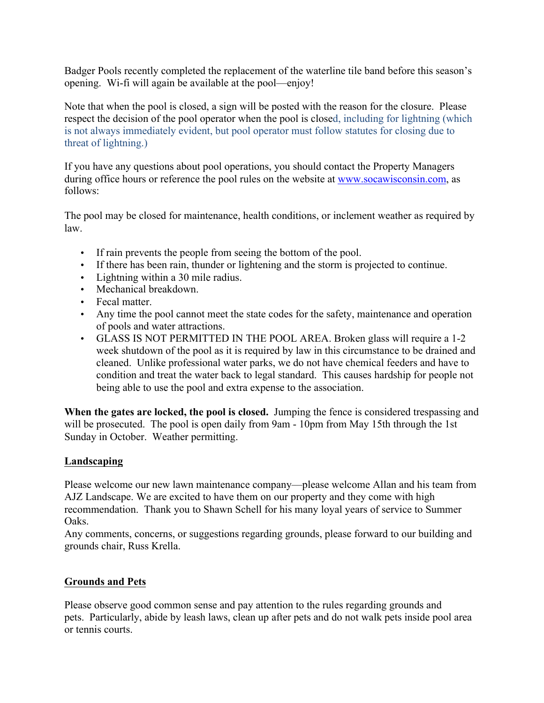Badger Pools recently completed the replacement of the waterline tile band before this season's opening. Wi-fi will again be available at the pool—enjoy!

Note that when the pool is closed, a sign will be posted with the reason for the closure. Please respect the decision of the pool operator when the pool is closed, including for lightning (which is not always immediately evident, but pool operator must follow statutes for closing due to threat of lightning.)

If you have any questions about pool operations, you should contact the Property Managers during office hours or reference the pool rules on the website at www.socawisconsin.com, as follows:

The pool may be closed for maintenance, health conditions, or inclement weather as required by law.

- If rain prevents the people from seeing the bottom of the pool.
- If there has been rain, thunder or lightening and the storm is projected to continue.
- Lightning within a 30 mile radius.
- Mechanical breakdown.
- Fecal matter.
- Any time the pool cannot meet the state codes for the safety, maintenance and operation of pools and water attractions.
- GLASS IS NOT PERMITTED IN THE POOL AREA. Broken glass will require a 1-2 week shutdown of the pool as it is required by law in this circumstance to be drained and cleaned. Unlike professional water parks, we do not have chemical feeders and have to condition and treat the water back to legal standard. This causes hardship for people not being able to use the pool and extra expense to the association.

**When the gates are locked, the pool is closed.** Jumping the fence is considered trespassing and will be prosecuted. The pool is open daily from 9am - 10pm from May 15th through the 1st Sunday in October. Weather permitting.

## **Landscaping**

Please welcome our new lawn maintenance company—please welcome Allan and his team from AJZ Landscape. We are excited to have them on our property and they come with high recommendation. Thank you to Shawn Schell for his many loyal years of service to Summer Oaks.

Any comments, concerns, or suggestions regarding grounds, please forward to our building and grounds chair, Russ Krella.

# **Grounds and Pets**

Please observe good common sense and pay attention to the rules regarding grounds and pets. Particularly, abide by leash laws, clean up after pets and do not walk pets inside pool area or tennis courts.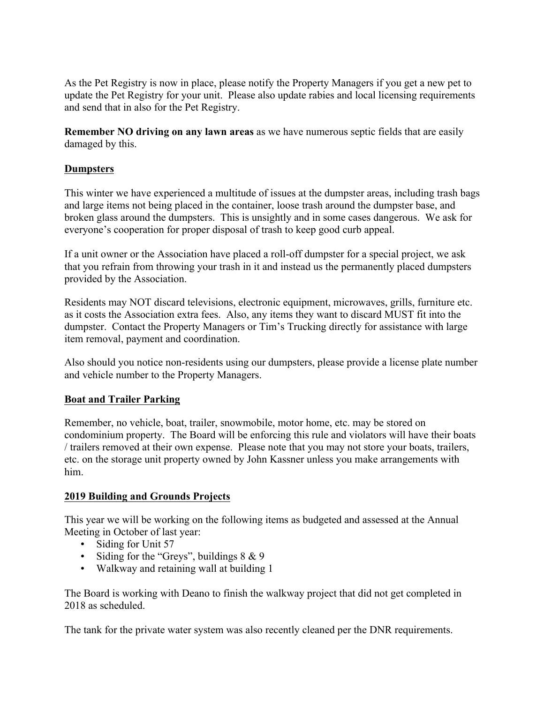As the Pet Registry is now in place, please notify the Property Managers if you get a new pet to update the Pet Registry for your unit. Please also update rabies and local licensing requirements and send that in also for the Pet Registry.

**Remember NO driving on any lawn areas** as we have numerous septic fields that are easily damaged by this.

#### **Dumpsters**

This winter we have experienced a multitude of issues at the dumpster areas, including trash bags and large items not being placed in the container, loose trash around the dumpster base, and broken glass around the dumpsters. This is unsightly and in some cases dangerous. We ask for everyone's cooperation for proper disposal of trash to keep good curb appeal.

If a unit owner or the Association have placed a roll-off dumpster for a special project, we ask that you refrain from throwing your trash in it and instead us the permanently placed dumpsters provided by the Association.

Residents may NOT discard televisions, electronic equipment, microwaves, grills, furniture etc. as it costs the Association extra fees. Also, any items they want to discard MUST fit into the dumpster. Contact the Property Managers or Tim's Trucking directly for assistance with large item removal, payment and coordination.

Also should you notice non-residents using our dumpsters, please provide a license plate number and vehicle number to the Property Managers.

#### **Boat and Trailer Parking**

Remember, no vehicle, boat, trailer, snowmobile, motor home, etc. may be stored on condominium property. The Board will be enforcing this rule and violators will have their boats / trailers removed at their own expense. Please note that you may not store your boats, trailers, etc. on the storage unit property owned by John Kassner unless you make arrangements with him.

#### **2019 Building and Grounds Projects**

This year we will be working on the following items as budgeted and assessed at the Annual Meeting in October of last year:

- Siding for Unit 57
- Siding for the "Greys", buildings  $8 \& 9$
- Walkway and retaining wall at building 1

The Board is working with Deano to finish the walkway project that did not get completed in 2018 as scheduled.

The tank for the private water system was also recently cleaned per the DNR requirements.